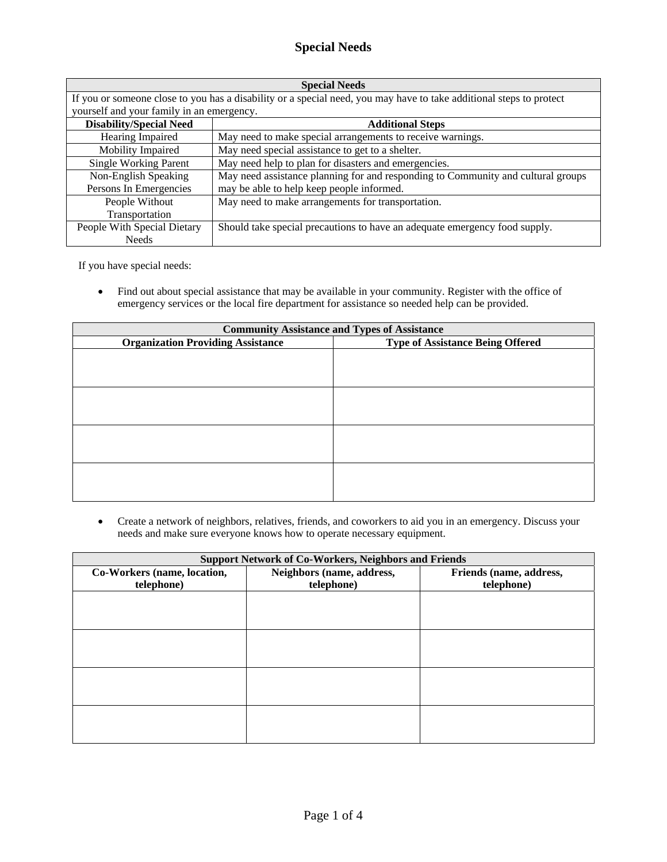## **Special Needs**

| <b>Special Needs</b>                                                                                                |                                                                                  |  |
|---------------------------------------------------------------------------------------------------------------------|----------------------------------------------------------------------------------|--|
| If you or someone close to you has a disability or a special need, you may have to take additional steps to protect |                                                                                  |  |
| yourself and your family in an emergency.                                                                           |                                                                                  |  |
| <b>Disability/Special Need</b>                                                                                      | <b>Additional Steps</b>                                                          |  |
| Hearing Impaired                                                                                                    | May need to make special arrangements to receive warnings.                       |  |
| Mobility Impaired                                                                                                   | May need special assistance to get to a shelter.                                 |  |
| <b>Single Working Parent</b>                                                                                        | May need help to plan for disasters and emergencies.                             |  |
| Non-English Speaking                                                                                                | May need assistance planning for and responding to Community and cultural groups |  |
| Persons In Emergencies                                                                                              | may be able to help keep people informed.                                        |  |
| People Without                                                                                                      | May need to make arrangements for transportation.                                |  |
| Transportation                                                                                                      |                                                                                  |  |
| People With Special Dietary                                                                                         | Should take special precautions to have an adequate emergency food supply.       |  |
| <b>Needs</b>                                                                                                        |                                                                                  |  |

If you have special needs:

• Find out about special assistance that may be available in your community. Register with the office of emergency services or the local fire department for assistance so needed help can be provided.

| <b>Community Assistance and Types of Assistance</b> |                                         |  |
|-----------------------------------------------------|-----------------------------------------|--|
| <b>Organization Providing Assistance</b>            | <b>Type of Assistance Being Offered</b> |  |
|                                                     |                                         |  |
|                                                     |                                         |  |
|                                                     |                                         |  |
|                                                     |                                         |  |
|                                                     |                                         |  |
|                                                     |                                         |  |
|                                                     |                                         |  |
|                                                     |                                         |  |
|                                                     |                                         |  |
|                                                     |                                         |  |
|                                                     |                                         |  |
|                                                     |                                         |  |

• Create a network of neighbors, relatives, friends, and coworkers to aid you in an emergency. Discuss your needs and make sure everyone knows how to operate necessary equipment.

| <b>Support Network of Co-Workers, Neighbors and Friends</b> |                           |                         |
|-------------------------------------------------------------|---------------------------|-------------------------|
| Co-Workers (name, location,                                 | Neighbors (name, address, | Friends (name, address, |
| telephone)                                                  | telephone)                | telephone)              |
|                                                             |                           |                         |
|                                                             |                           |                         |
|                                                             |                           |                         |
|                                                             |                           |                         |
|                                                             |                           |                         |
|                                                             |                           |                         |
|                                                             |                           |                         |
|                                                             |                           |                         |
|                                                             |                           |                         |
|                                                             |                           |                         |
|                                                             |                           |                         |
|                                                             |                           |                         |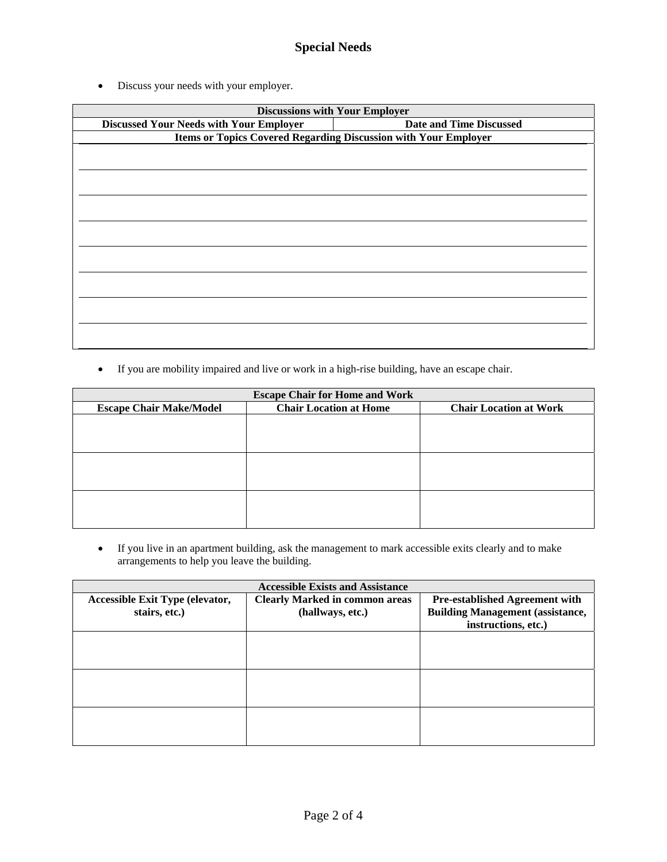• Discuss your needs with your employer.

|                                                | <b>Discussions with Your Employer</b>                                  |
|------------------------------------------------|------------------------------------------------------------------------|
| <b>Discussed Your Needs with Your Employer</b> | <b>Date and Time Discussed</b>                                         |
|                                                | <b>Items or Topics Covered Regarding Discussion with Your Employer</b> |
|                                                |                                                                        |
|                                                |                                                                        |
|                                                |                                                                        |
|                                                |                                                                        |
|                                                |                                                                        |
|                                                |                                                                        |
|                                                |                                                                        |
|                                                |                                                                        |
|                                                |                                                                        |
|                                                |                                                                        |
|                                                |                                                                        |
|                                                |                                                                        |
|                                                |                                                                        |
|                                                |                                                                        |
|                                                |                                                                        |
|                                                |                                                                        |
|                                                |                                                                        |

• If you are mobility impaired and live or work in a high-rise building, have an escape chair.

| <b>Escape Chair for Home and Work</b> |                               |                               |
|---------------------------------------|-------------------------------|-------------------------------|
| <b>Escape Chair Make/Model</b>        | <b>Chair Location at Home</b> | <b>Chair Location at Work</b> |
|                                       |                               |                               |
|                                       |                               |                               |
|                                       |                               |                               |
|                                       |                               |                               |
|                                       |                               |                               |
|                                       |                               |                               |
|                                       |                               |                               |
|                                       |                               |                               |
|                                       |                               |                               |

• If you live in an apartment building, ask the management to mark accessible exits clearly and to make arrangements to help you leave the building.

| <b>Accessible Exists and Assistance</b> |                                       |                                         |
|-----------------------------------------|---------------------------------------|-----------------------------------------|
| <b>Accessible Exit Type (elevator,</b>  | <b>Clearly Marked in common areas</b> | <b>Pre-established Agreement with</b>   |
| stairs, etc.)                           | (hallways, etc.)                      | <b>Building Management (assistance,</b> |
|                                         |                                       | instructions, etc.)                     |
|                                         |                                       |                                         |
|                                         |                                       |                                         |
|                                         |                                       |                                         |
|                                         |                                       |                                         |
|                                         |                                       |                                         |
|                                         |                                       |                                         |
|                                         |                                       |                                         |
|                                         |                                       |                                         |
|                                         |                                       |                                         |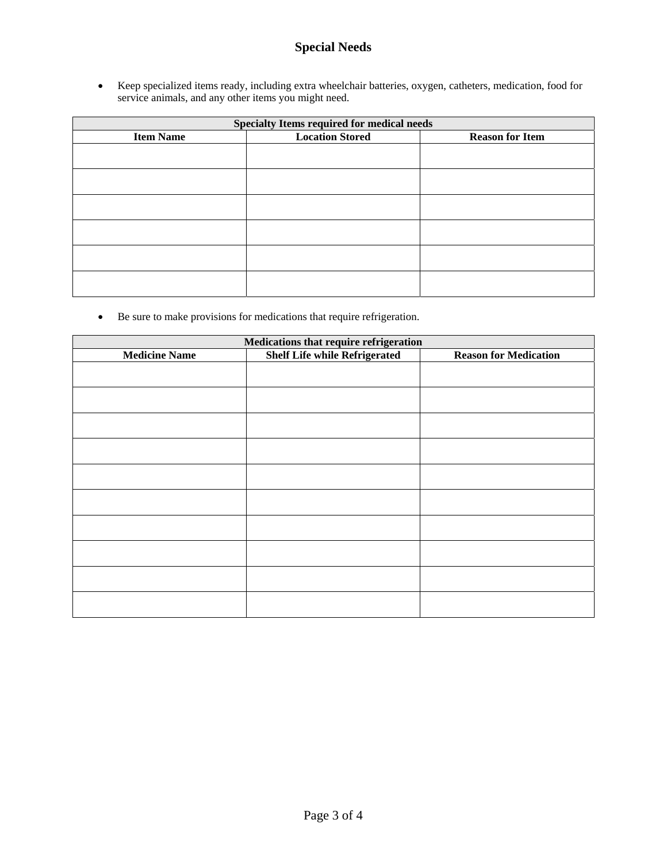## **Special Needs**

• Keep specialized items ready, including extra wheelchair batteries, oxygen, catheters, medication, food for service animals, and any other items you might need.

| <b>Specialty Items required for medical needs</b> |                        |                        |
|---------------------------------------------------|------------------------|------------------------|
| <b>Item Name</b>                                  | <b>Location Stored</b> | <b>Reason for Item</b> |
|                                                   |                        |                        |
|                                                   |                        |                        |
|                                                   |                        |                        |
|                                                   |                        |                        |
|                                                   |                        |                        |
|                                                   |                        |                        |
|                                                   |                        |                        |
|                                                   |                        |                        |
|                                                   |                        |                        |
|                                                   |                        |                        |
|                                                   |                        |                        |
|                                                   |                        |                        |

• Be sure to make provisions for medications that require refrigeration.

|  | <b>Reason for Medication</b>                                                   |  |
|--|--------------------------------------------------------------------------------|--|
|  |                                                                                |  |
|  |                                                                                |  |
|  |                                                                                |  |
|  |                                                                                |  |
|  |                                                                                |  |
|  |                                                                                |  |
|  |                                                                                |  |
|  |                                                                                |  |
|  |                                                                                |  |
|  |                                                                                |  |
|  |                                                                                |  |
|  |                                                                                |  |
|  |                                                                                |  |
|  |                                                                                |  |
|  |                                                                                |  |
|  |                                                                                |  |
|  |                                                                                |  |
|  |                                                                                |  |
|  |                                                                                |  |
|  | Medications that require refrigeration<br><b>Shelf Life while Refrigerated</b> |  |